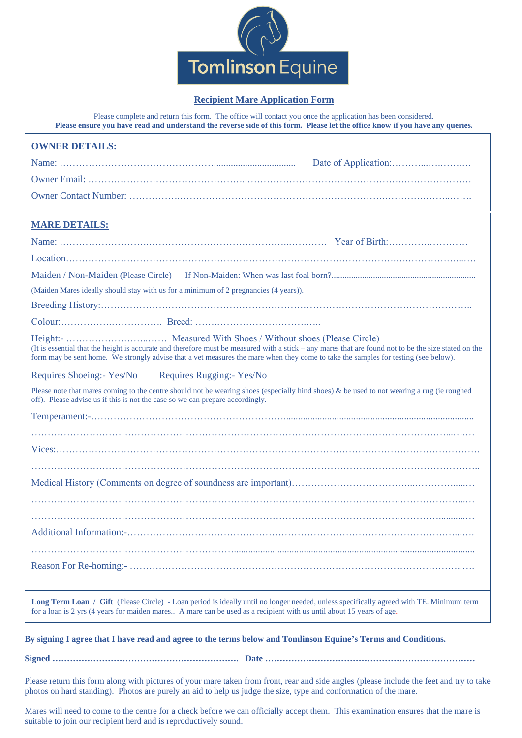

## **Recipient Mare Application Form**

Please complete and return this form. The office will contact you once the application has been considered. **Please ensure you have read and understand the reverse side of this form. Please let the office know if you have any queries.** 

| <b>OWNER DETAILS:</b>                                                                                                                                                                                                                                                                      |
|--------------------------------------------------------------------------------------------------------------------------------------------------------------------------------------------------------------------------------------------------------------------------------------------|
|                                                                                                                                                                                                                                                                                            |
|                                                                                                                                                                                                                                                                                            |
|                                                                                                                                                                                                                                                                                            |
| <b>MARE DETAILS:</b>                                                                                                                                                                                                                                                                       |
|                                                                                                                                                                                                                                                                                            |
|                                                                                                                                                                                                                                                                                            |
|                                                                                                                                                                                                                                                                                            |
| (Maiden Mares ideally should stay with us for a minimum of 2 pregnancies (4 years)).                                                                                                                                                                                                       |
|                                                                                                                                                                                                                                                                                            |
|                                                                                                                                                                                                                                                                                            |
| (It is essential that the height is accurate and therefore must be measured with a stick – any mares that are found not to be the size stated on the<br>form may be sent home. We strongly advise that a vet measures the mare when they come to take the samples for testing (see below). |
| Requires Rugging:- Yes/No<br>Requires Shoeing:- Yes/No                                                                                                                                                                                                                                     |
| Please note that mares coming to the centre should not be wearing shoes (especially hind shoes) & be used to not wearing a rug (ie roughed<br>off). Please advise us if this is not the case so we can prepare accordingly.                                                                |
|                                                                                                                                                                                                                                                                                            |
|                                                                                                                                                                                                                                                                                            |
|                                                                                                                                                                                                                                                                                            |
|                                                                                                                                                                                                                                                                                            |
|                                                                                                                                                                                                                                                                                            |
|                                                                                                                                                                                                                                                                                            |
|                                                                                                                                                                                                                                                                                            |
|                                                                                                                                                                                                                                                                                            |
|                                                                                                                                                                                                                                                                                            |
| Long Term Loan / Gift (Please Circle) - Loan period is ideally until no longer needed, unless specifically agreed with TE. Minimum term                                                                                                                                                    |

for a loan is 2 yrs (4 years for maiden mares.. A mare can be used as a recipient with us until about 15 years of age.

**By signing I agree that I have read and agree to the terms below and Tomlinson Equine's Terms and Conditions.**

**Signed ………………………………………………………. Date ………………………………………………………………**

Please return this form along with pictures of your mare taken from front, rear and side angles (please include the feet and try to take photos on hard standing). Photos are purely an aid to help us judge the size, type and conformation of the mare.

Mares will need to come to the centre for a check before we can officially accept them. This examination ensures that the mare is suitable to join our recipient herd and is reproductively sound.